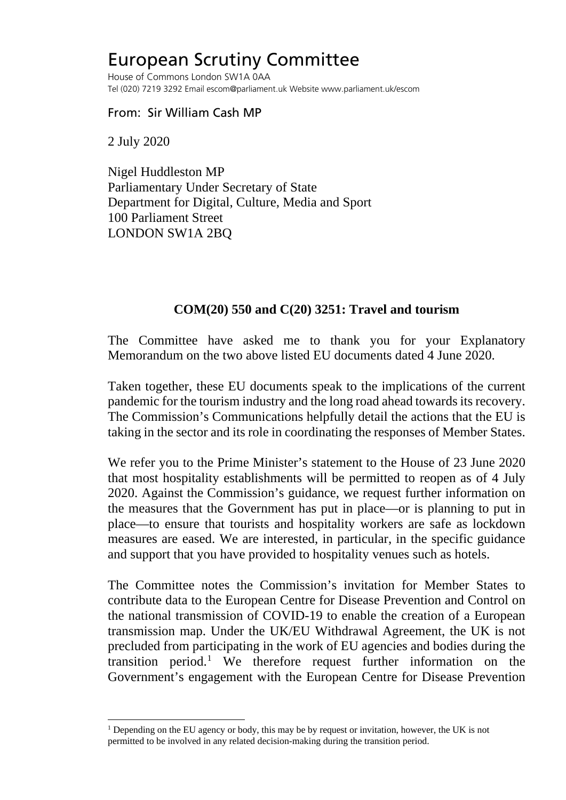## European Scrutiny Committee

House of Commons London SW1A 0AA Tel (020) 7219 3292 Email escom@parliament.uk Website www.parliament.uk/escom

From: Sir William Cash MP

2 July 2020

Nigel Huddleston MP Parliamentary Under Secretary of State Department for Digital, Culture, Media and Sport 100 Parliament Street LONDON SW1A 2BQ

## **COM(20) 550 and C(20) 3251: Travel and tourism**

The Committee have asked me to thank you for your Explanatory Memorandum on the two above listed EU documents dated 4 June 2020.

Taken together, these EU documents speak to the implications of the current pandemic for the tourism industry and the long road ahead towards its recovery. The Commission's Communications helpfully detail the actions that the EU is taking in the sector and its role in coordinating the responses of Member States.

We refer you to the Prime Minister's statement to the House of 23 June 2020 that most hospitality establishments will be permitted to reopen as of 4 July 2020. Against the Commission's guidance, we request further information on the measures that the Government has put in place—or is planning to put in place—to ensure that tourists and hospitality workers are safe as lockdown measures are eased. We are interested, in particular, in the specific guidance and support that you have provided to hospitality venues such as hotels.

The Committee notes the Commission's invitation for Member States to contribute data to the European Centre for Disease Prevention and Control on the national transmission of COVID-19 to enable the creation of a European transmission map. Under the UK/EU Withdrawal Agreement, the UK is not precluded from participating in the work of EU agencies and bodies during the transition period.[1](#page-0-0) We therefore request further information on the Government's engagement with the European Centre for Disease Prevention

<span id="page-0-0"></span><sup>&</sup>lt;sup>1</sup> Depending on the EU agency or body, this may be by request or invitation, however, the UK is not permitted to be involved in any related decision-making during the transition period.